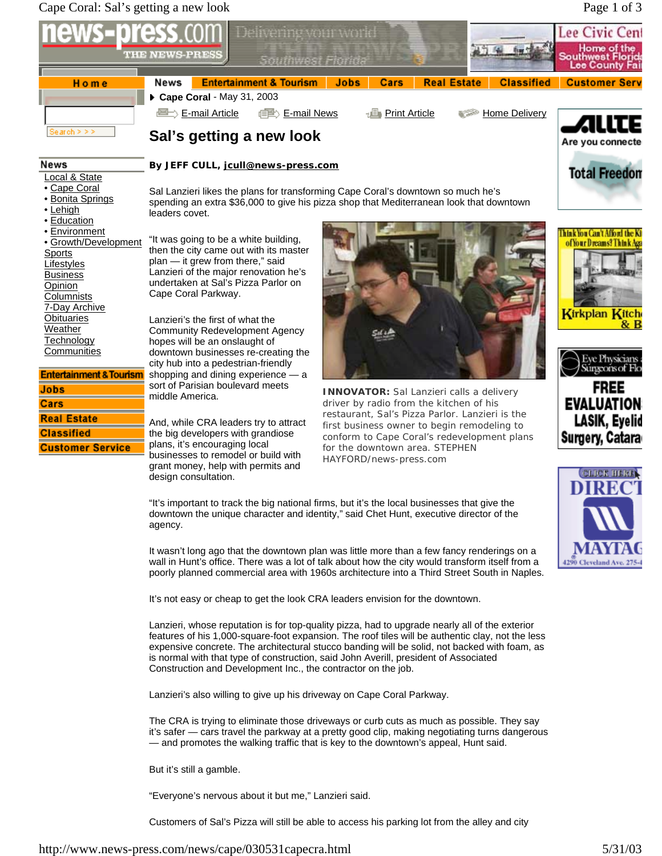## Cape Coral: Sal's getting a new look Page 1 of 3



"It's important to track the big national firms, but it's the local businesses that give the downtown the unique character and identity," said Chet Hunt, executive director of the agency.

It wasn't long ago that the downtown plan was little more than a few fancy renderings on a wall in Hunt's office. There was a lot of talk about how the city would transform itself from a poorly planned commercial area with 1960s architecture into a Third Street South in Naples.

It's not easy or cheap to get the look CRA leaders envision for the downtown.

Lanzieri, whose reputation is for top-quality pizza, had to upgrade nearly all of the exterior features of his 1,000-square-foot expansion. The roof tiles will be authentic clay, not the less expensive concrete. The architectural stucco banding will be solid, not backed with foam, as is normal with that type of construction, said John Averill, president of Associated Construction and Development Inc., the contractor on the job.

Lanzieri's also willing to give up his driveway on Cape Coral Parkway.

The CRA is trying to eliminate those driveways or curb cuts as much as possible. They say it's safer — cars travel the parkway at a pretty good clip, making negotiating turns dangerous — and promotes the walking traffic that is key to the downtown's appeal, Hunt said.

But it's still a gamble.

"Everyone's nervous about it but me," Lanzieri said.

Customers of Sal's Pizza will still be able to access his parking lot from the alley and city

4290 Cleveland Ave. 275-4